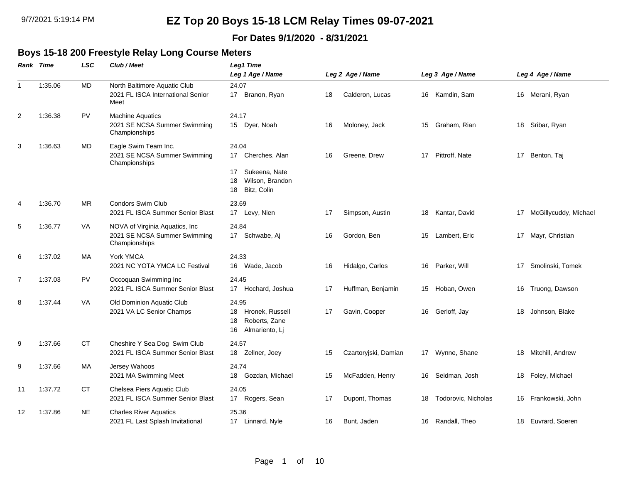## **For Dates 9/1/2020 - 8/31/2021**

## **Boys 15-18 200 Freestyle Relay Long Course Meters**

|                | <b>Rank Time</b> | <b>LSC</b> | Club / Meet                                                                     | Leg1 Time                                                                                       |    |                      |    |                        |                          |
|----------------|------------------|------------|---------------------------------------------------------------------------------|-------------------------------------------------------------------------------------------------|----|----------------------|----|------------------------|--------------------------|
|                |                  |            |                                                                                 | Leg 1 Age / Name                                                                                |    | Leg 2 Age / Name     |    | Leg 3 Age / Name       | Leg 4 Age / Name         |
| $\mathbf{1}$   | 1:35.06          | <b>MD</b>  | North Baltimore Aquatic Club<br>2021 FL ISCA International Senior<br>Meet       | 24.07<br>17 Branon, Ryan                                                                        | 18 | Calderon, Lucas      |    | 16 Kamdin, Sam         | 16 Merani, Ryan          |
| 2              | 1:36.38          | PV.        | <b>Machine Aquatics</b><br>2021 SE NCSA Summer Swimming<br>Championships        | 24.17<br>15 Dyer, Noah                                                                          | 16 | Moloney, Jack        |    | 15 Graham, Rian        | 18 Sribar, Ryan          |
| 3              | 1:36.63          | <b>MD</b>  | Eagle Swim Team Inc.<br>2021 SE NCSA Summer Swimming<br>Championships           | 24.04<br>17 Cherches, Alan<br>Sukeena, Nate<br>17<br>Wilson, Brandon<br>18<br>18<br>Bitz, Colin | 16 | Greene, Drew         | 17 | Pittroff, Nate         | 17 Benton, Taj           |
| $\overline{4}$ | 1:36.70          | <b>MR</b>  | Condors Swim Club<br>2021 FL ISCA Summer Senior Blast                           | 23.69<br>17 Levy, Nien                                                                          | 17 | Simpson, Austin      |    | 18 Kantar, David       | 17 McGillycuddy, Michael |
| 5              | 1:36.77          | VA         | NOVA of Virginia Aquatics, Inc<br>2021 SE NCSA Summer Swimming<br>Championships | 24.84<br>17 Schwabe, Aj                                                                         | 16 | Gordon, Ben          |    | 15 Lambert, Eric       | 17 Mayr, Christian       |
| 6              | 1:37.02          | МA         | York YMCA<br>2021 NC YOTA YMCA LC Festival                                      | 24.33<br>16 Wade, Jacob                                                                         | 16 | Hidalgo, Carlos      |    | 16 Parker, Will        | 17 Smolinski, Tomek      |
| $\overline{7}$ | 1:37.03          | <b>PV</b>  | Occoquan Swimming Inc<br>2021 FL ISCA Summer Senior Blast                       | 24.45<br>17 Hochard, Joshua                                                                     | 17 | Huffman, Benjamin    |    | 15 Hoban, Owen         | 16 Truong, Dawson        |
| 8              | 1:37.44          | VA         | Old Dominion Aquatic Club<br>2021 VA LC Senior Champs                           | 24.95<br>18 Hronek, Russell<br>18<br>Roberts, Zane<br>16<br>Almariento, Li                      | 17 | Gavin, Cooper        |    | 16 Gerloff, Jay        | 18 Johnson, Blake        |
| 9              | 1:37.66          | СT         | Cheshire Y Sea Dog Swim Club<br>2021 FL ISCA Summer Senior Blast                | 24.57<br>18 Zellner, Joey                                                                       | 15 | Czartoryjski, Damian |    | 17 Wynne, Shane        | 18 Mitchill, Andrew      |
| 9              | 1:37.66          | МA         | Jersey Wahoos<br>2021 MA Swimming Meet                                          | 24.74<br>18 Gozdan, Michael                                                                     | 15 | McFadden, Henry      |    | 16 Seidman, Josh       | 18 Foley, Michael        |
| 11             | 1:37.72          | <b>CT</b>  | Chelsea Piers Aquatic Club<br>2021 FL ISCA Summer Senior Blast                  | 24.05<br>17 Rogers, Sean                                                                        | 17 | Dupont, Thomas       |    | 18 Todorovic, Nicholas | 16 Frankowski, John      |
| 12             | 1:37.86          | <b>NE</b>  | <b>Charles River Aquatics</b><br>2021 FL Last Splash Invitational               | 25.36<br>17 Linnard, Nyle                                                                       | 16 | Bunt, Jaden          |    | 16 Randall, Theo       | 18 Euvrard, Soeren       |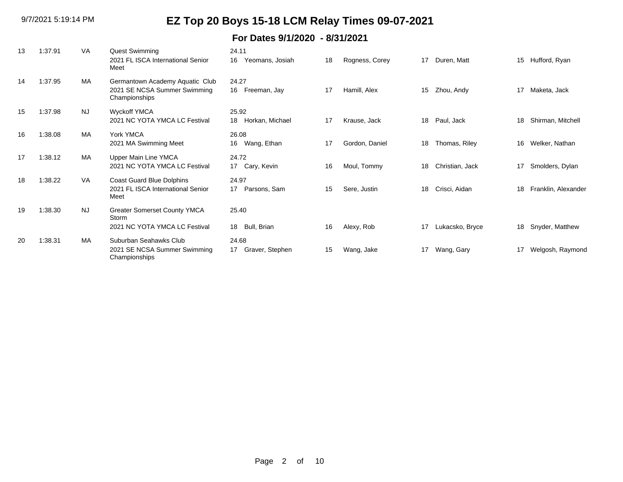| 13 | 1:37.91 | VA        | <b>Quest Swimming</b>                         | 24.11                 |    |                |    |                 |    |                     |
|----|---------|-----------|-----------------------------------------------|-----------------------|----|----------------|----|-----------------|----|---------------------|
|    |         |           | 2021 FL ISCA International Senior<br>Meet     | 16<br>Yeomans, Josiah | 18 | Rogness, Corey | 17 | Duren, Matt     | 15 | Hufford, Ryan       |
| 14 | 1:37.95 | MA        | Germantown Academy Aquatic Club               | 24.27                 |    |                |    |                 |    |                     |
|    |         |           | 2021 SE NCSA Summer Swimming<br>Championships | 16 Freeman, Jay       | 17 | Hamill, Alex   | 15 | Zhou, Andy      | 17 | Maketa, Jack        |
| 15 | 1:37.98 | <b>NJ</b> | <b>Wyckoff YMCA</b>                           | 25.92                 |    |                |    |                 |    |                     |
|    |         |           | 2021 NC YOTA YMCA LC Festival                 | Horkan, Michael<br>18 | 17 | Krause, Jack   | 18 | Paul, Jack      | 18 | Shirman, Mitchell   |
| 16 | 1:38.08 | MA        | York YMCA                                     | 26.08                 |    |                |    |                 |    |                     |
|    |         |           | 2021 MA Swimming Meet                         | Wang, Ethan<br>16     | 17 | Gordon, Daniel | 18 | Thomas, Riley   | 16 | Welker, Nathan      |
| 17 | 1:38.12 | MA        | Upper Main Line YMCA                          | 24.72                 |    |                |    |                 |    |                     |
|    |         |           | 2021 NC YOTA YMCA LC Festival                 | 17 Cary, Kevin        | 16 | Moul, Tommy    | 18 | Christian, Jack | 17 | Smolders, Dylan     |
| 18 | 1:38.22 | <b>VA</b> | Coast Guard Blue Dolphins                     | 24.97                 |    |                |    |                 |    |                     |
|    |         |           | 2021 FL ISCA International Senior<br>Meet     | Parsons, Sam<br>17    | 15 | Sere, Justin   | 18 | Crisci, Aidan   | 18 | Franklin, Alexander |
| 19 | 1:38.30 | <b>NJ</b> | <b>Greater Somerset County YMCA</b><br>Storm  | 25.40                 |    |                |    |                 |    |                     |
|    |         |           | 2021 NC YOTA YMCA LC Festival                 | Bull, Brian<br>18     | 16 | Alexy, Rob     | 17 | Lukacsko, Bryce | 18 | Snyder, Matthew     |
| 20 | 1:38.31 | MA        | Suburban Seahawks Club                        | 24.68                 |    |                |    |                 |    |                     |
|    |         |           | 2021 SE NCSA Summer Swimming<br>Championships | 17<br>Graver, Stephen | 15 | Wang, Jake     | 17 | Wang, Gary      | 17 | Welgosh, Raymond    |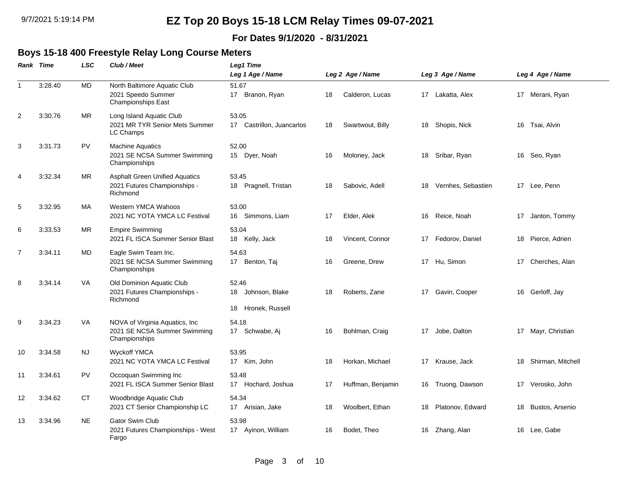## **For Dates 9/1/2020 - 8/31/2021**

## **Boys 15-18 400 Freestyle Relay Long Course Meters**

|              | <b>Rank Time</b> | <b>LSC</b> | Club / Meet                                                                       | Leg1 Time                                              |    |                   |    |                       |    |                    |
|--------------|------------------|------------|-----------------------------------------------------------------------------------|--------------------------------------------------------|----|-------------------|----|-----------------------|----|--------------------|
|              |                  |            |                                                                                   | Leg 1 Age / Name                                       |    | Leg 2 Age / Name  |    | Leg 3 Age / Name      |    | Leg 4 Age / Name   |
| $\mathbf{1}$ | 3:28.40          | <b>MD</b>  | North Baltimore Aquatic Club<br>2021 Speedo Summer<br><b>Championships East</b>   | 51.67<br>17 Branon, Ryan                               | 18 | Calderon, Lucas   |    | 17 Lakatta, Alex      |    | 17 Merani, Ryan    |
| 2            | 3:30.76          | <b>MR</b>  | Long Island Aquatic Club<br>2021 MR TYR Senior Mets Summer<br>LC Champs           | 53.05<br>17 Castrillon, Juancarlos                     | 18 | Swartwout, Billy  |    | 18 Shopis, Nick       |    | 16 Tsai, Alvin     |
| 3            | 3:31.73          | <b>PV</b>  | <b>Machine Aquatics</b><br>2021 SE NCSA Summer Swimming<br>Championships          | 52.00<br>15 Dyer, Noah                                 | 16 | Moloney, Jack     |    | 18 Sribar, Ryan       |    | 16 Seo, Ryan       |
| 4            | 3:32.34          | MR.        | <b>Asphalt Green Unified Aquatics</b><br>2021 Futures Championships -<br>Richmond | 53.45<br>18 Pragnell, Tristan                          | 18 | Sabovic, Adell    |    | 18 Vernhes, Sebastien |    | 17 Lee, Penn       |
| 5            | 3:32.95          | МA         | <b>Western YMCA Wahoos</b><br>2021 NC YOTA YMCA LC Festival                       | 53.00<br>16 Simmons, Liam                              | 17 | Elder, Alek       |    | 16 Reice, Noah        |    | 17 Janton, Tommy   |
| 6            | 3:33.53          | <b>MR</b>  | <b>Empire Swimming</b><br>2021 FL ISCA Summer Senior Blast                        | 53.04<br>18 Kelly, Jack                                | 18 | Vincent, Connor   | 17 | Fedorov, Daniel       |    | 18 Pierce, Adrien  |
| 7            | 3:34.11          | MD         | Eagle Swim Team Inc.<br>2021 SE NCSA Summer Swimming<br>Championships             | 54.63<br>17 Benton, Taj                                | 16 | Greene, Drew      |    | 17 Hu, Simon          |    | 17 Cherches, Alan  |
| 8            | 3:34.14          | VA         | Old Dominion Aquatic Club<br>2021 Futures Championships -<br>Richmond             | 52.46<br>Johnson, Blake<br>18<br>Hronek, Russell<br>18 | 18 | Roberts, Zane     |    | 17 Gavin, Cooper      |    | 16 Gerloff, Jay    |
| 9            | 3:34.23          | VA         | NOVA of Virginia Aquatics, Inc.<br>2021 SE NCSA Summer Swimming<br>Championships  | 54.18<br>17 Schwabe, Aj                                | 16 | Bohlman, Craig    |    | 17 Jobe, Dalton       |    | 17 Mayr, Christian |
| 10           | 3:34.58          | <b>NJ</b>  | <b>Wyckoff YMCA</b><br>2021 NC YOTA YMCA LC Festival                              | 53.95<br>17 Kim, John                                  | 18 | Horkan, Michael   |    | 17 Krause, Jack       | 18 | Shirman, Mitchell  |
| 11           | 3:34.61          | <b>PV</b>  | Occoquan Swimming Inc<br>2021 FL ISCA Summer Senior Blast                         | 53.48<br>17 Hochard, Joshua                            | 17 | Huffman, Benjamin |    | 16 Truong, Dawson     |    | 17 Verosko, John   |
| 12           | 3:34.62          | СT         | Woodbridge Aquatic Club<br>2021 CT Senior Championship LC                         | 54.34<br>17 Arisian, Jake                              | 18 | Woolbert, Ethan   | 18 | Platonov, Edward      |    | 18 Bustos, Arsenio |
| 13           | 3:34.96          | <b>NE</b>  | Gator Swim Club<br>2021 Futures Championships - West<br>Fargo                     | 53.98<br>17 Ayinon, William                            | 16 | Bodet, Theo       |    | 16 Zhang, Alan        |    | 16 Lee, Gabe       |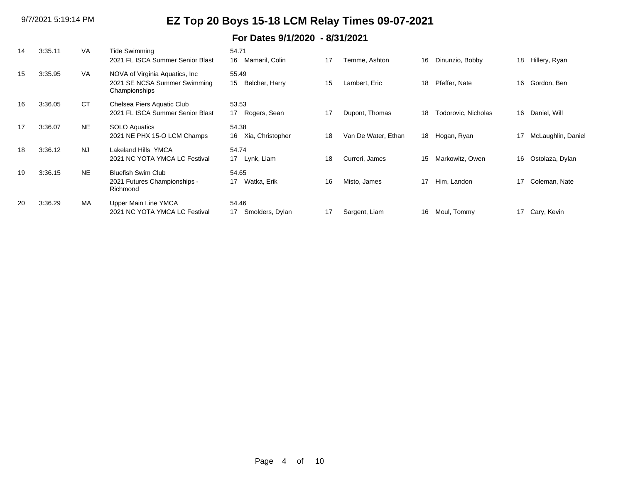| 14 | 3:35.11 | <b>VA</b> | Tide Swimming<br>2021 FL ISCA Summer Senior Blast                                | 54.71<br>Mamaril, Colin<br>16   | 17 | Temme, Ashton       | 16 | Dinunzio, Bobby     | 18 | Hillery, Ryan      |
|----|---------|-----------|----------------------------------------------------------------------------------|---------------------------------|----|---------------------|----|---------------------|----|--------------------|
| 15 | 3:35.95 | VA        | NOVA of Virginia Aquatics, Inc.<br>2021 SE NCSA Summer Swimming<br>Championships | 55.49<br>Belcher, Harry<br>15   | 15 | Lambert, Eric       | 18 | Pfeffer, Nate       | 16 | Gordon, Ben        |
| 16 | 3:36.05 | <b>CT</b> | Chelsea Piers Aquatic Club<br>2021 FL ISCA Summer Senior Blast                   | 53.53<br>17<br>Rogers, Sean     | 17 | Dupont, Thomas      | 18 | Todorovic, Nicholas | 16 | Daniel, Will       |
| 17 | 3:36.07 | NE.       | <b>SOLO Aquatics</b><br>2021 NE PHX 15-O LCM Champs                              | 54.38<br>Xia, Christopher<br>16 | 18 | Van De Water, Ethan | 18 | Hogan, Ryan         | 17 | McLaughlin, Daniel |
| 18 | 3:36.12 | <b>NJ</b> | Lakeland Hills YMCA<br>2021 NC YOTA YMCA LC Festival                             | 54.74<br>17 Lynk, Liam          | 18 | Curreri, James      | 15 | Markowitz, Owen     | 16 | Ostolaza, Dylan    |
| 19 | 3:36.15 | NE.       | <b>Bluefish Swim Club</b><br>2021 Futures Championships -<br>Richmond            | 54.65<br>17<br>Watka, Erik      | 16 | Misto, James        | 17 | Him, Landon         | 17 | Coleman, Nate      |
| 20 | 3:36.29 | MA        | Upper Main Line YMCA<br>2021 NC YOTA YMCA LC Festival                            | 54.46<br>17<br>Smolders, Dylan  | 17 | Sargent, Liam       | 16 | Moul, Tommy         |    | 17 Cary, Kevin     |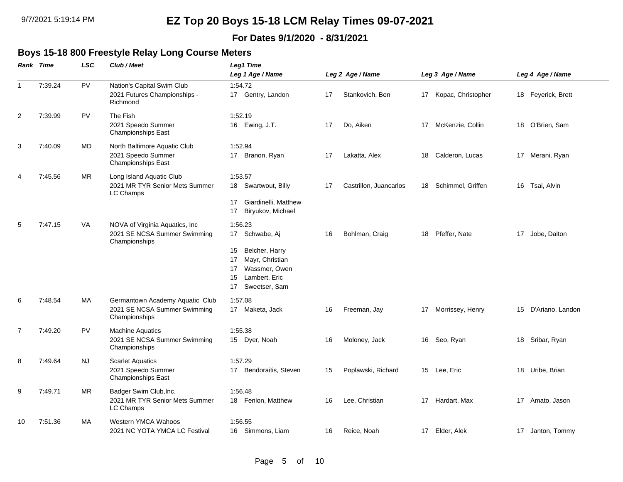## **For Dates 9/1/2020 - 8/31/2021**

## **Boys 15-18 800 Freestyle Relay Long Course Meters**

|                | <b>Rank Time</b> | <b>LSC</b> | Club / Meet                                                                      | Leg1 Time                                                                                                                                          |    |                        |                       |                  |                     |  |
|----------------|------------------|------------|----------------------------------------------------------------------------------|----------------------------------------------------------------------------------------------------------------------------------------------------|----|------------------------|-----------------------|------------------|---------------------|--|
|                |                  |            |                                                                                  | Leg 1 Age / Name<br>Leg 2 Age / Name                                                                                                               |    |                        | Leg 3 Age / Name      | Leg 4 Age / Name |                     |  |
| $\mathbf{1}$   | 7:39.24          | PV         | Nation's Capital Swim Club<br>2021 Futures Championships -<br>Richmond           | 1:54.72<br>17 Gentry, Landon                                                                                                                       | 17 | Stankovich, Ben        | 17 Kopac, Christopher |                  | 18 Feyerick, Brett  |  |
| $\overline{2}$ | 7:39.99          | <b>PV</b>  | The Fish<br>2021 Speedo Summer<br><b>Championships East</b>                      | 1:52.19<br>16 Ewing, J.T.                                                                                                                          | 17 | Do, Aiken              | 17 McKenzie, Collin   |                  | 18 O'Brien, Sam     |  |
| 3              | 7:40.09          | MD         | North Baltimore Aquatic Club<br>2021 Speedo Summer<br><b>Championships East</b>  | 1:52.94<br>17 Branon, Ryan                                                                                                                         | 17 | Lakatta, Alex          | 18 Calderon, Lucas    |                  | 17 Merani, Ryan     |  |
| 4              | 7:45.56          | <b>MR</b>  | Long Island Aquatic Club<br>2021 MR TYR Senior Mets Summer<br>LC Champs          | 1:53.57<br>18 Swartwout, Billy<br>Giardinelli, Matthew<br>17<br>17<br>Biryukov, Michael                                                            | 17 | Castrillon, Juancarlos | 18 Schimmel, Griffen  |                  | 16 Tsai, Alvin      |  |
| 5              | 7:47.15          | <b>VA</b>  | NOVA of Virginia Aquatics, Inc.<br>2021 SE NCSA Summer Swimming<br>Championships | 1:56.23<br>Schwabe, Aj<br>17<br>Belcher, Harry<br>15<br>Mayr, Christian<br>17<br>Wassmer, Owen<br>17<br>Lambert. Eric<br>15<br>Sweetser, Sam<br>17 | 16 | Bohlman, Craig         | 18 Pfeffer, Nate      |                  | 17 Jobe, Dalton     |  |
| 6              | 7:48.54          | МA         | Germantown Academy Aquatic Club<br>2021 SE NCSA Summer Swimming<br>Championships | 1:57.08<br>17 Maketa, Jack                                                                                                                         | 16 | Freeman, Jay           | 17 Morrissey, Henry   |                  | 15 D'Ariano, Landon |  |
| 7              | 7:49.20          | PV.        | <b>Machine Aquatics</b><br>2021 SE NCSA Summer Swimming<br>Championships         | 1:55.38<br>15 Dyer, Noah                                                                                                                           | 16 | Moloney, Jack          | 16 Seo, Ryan          |                  | 18 Sribar, Ryan     |  |
| 8              | 7:49.64          | NJ         | <b>Scarlet Aquatics</b><br>2021 Speedo Summer<br><b>Championships East</b>       | 1:57.29<br>17 Bendoraitis, Steven                                                                                                                  | 15 | Poplawski, Richard     | 15 Lee, Eric          |                  | 18 Uribe, Brian     |  |
| 9              | 7:49.71          | MR         | Badger Swim Club, Inc.<br>2021 MR TYR Senior Mets Summer<br>LC Champs            | 1:56.48<br>18 Fenlon, Matthew                                                                                                                      | 16 | Lee, Christian         | 17 Hardart, Max       |                  | 17 Amato, Jason     |  |
| 10             | 7:51.36          | МA         | <b>Western YMCA Wahoos</b><br>2021 NC YOTA YMCA LC Festival                      | 1:56.55<br>16 Simmons, Liam                                                                                                                        | 16 | Reice, Noah            | 17 Elder, Alek        |                  | 17 Janton, Tommy    |  |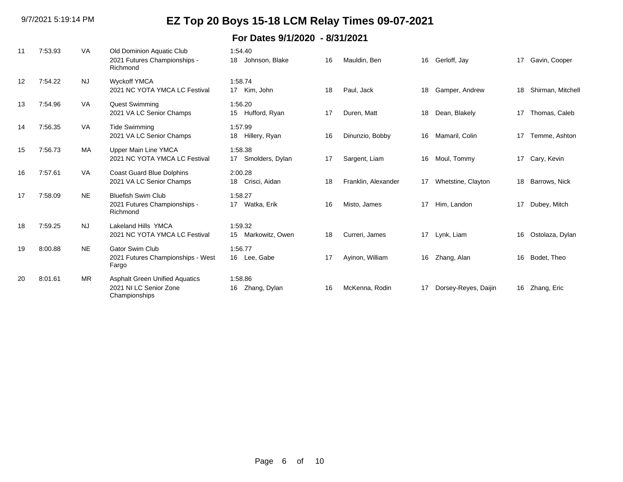| 11 | 7:53.93 | VA        | Old Dominion Aquatic Club<br>2021 Futures Championships -<br>Richmond            | 1:54.40<br>Johnson, Blake<br>18             | 16 | Mauldin, Ben        | 16 | Gerloff, Jay         | 17 | Gavin, Cooper     |
|----|---------|-----------|----------------------------------------------------------------------------------|---------------------------------------------|----|---------------------|----|----------------------|----|-------------------|
| 12 | 7:54.22 | <b>NJ</b> | <b>Wyckoff YMCA</b><br>2021 NC YOTA YMCA LC Festival                             | 1:58.74<br>17 Kim, John                     | 18 | Paul, Jack          | 18 | Gamper, Andrew       | 18 | Shirman, Mitchell |
| 13 | 7:54.96 | VA        | <b>Quest Swimming</b><br>2021 VA LC Senior Champs                                | 1:56.20<br>Hufford, Ryan<br>15 <sub>1</sub> | 17 | Duren, Matt         | 18 | Dean, Blakely        | 17 | Thomas, Caleb     |
| 14 | 7:56.35 | VA        | <b>Tide Swimming</b><br>2021 VA LC Senior Champs                                 | 1:57.99<br>Hillery, Ryan<br>18              | 16 | Dinunzio, Bobby     | 16 | Mamaril, Colin       | 17 | Temme, Ashton     |
| 15 | 7:56.73 | <b>MA</b> | Upper Main Line YMCA<br>2021 NC YOTA YMCA LC Festival                            | 1:58.38<br>17 Smolders, Dylan               | 17 | Sargent, Liam       | 16 | Moul, Tommy          | 17 | Cary, Kevin       |
| 16 | 7:57.61 | <b>VA</b> | Coast Guard Blue Dolphins<br>2021 VA LC Senior Champs                            | 2:00.28<br>Crisci, Aidan<br>18              | 18 | Franklin, Alexander | 17 | Whetstine, Clayton   | 18 | Barrows, Nick     |
| 17 | 7:58.09 | <b>NE</b> | <b>Bluefish Swim Club</b><br>2021 Futures Championships -<br>Richmond            | 1:58.27<br>Watka, Erik<br>17                | 16 | Misto, James        | 17 | Him, Landon          | 17 | Dubey, Mitch      |
| 18 | 7:59.25 | <b>NJ</b> | Lakeland Hills YMCA<br>2021 NC YOTA YMCA LC Festival                             | 1:59.32<br>Markowitz, Owen<br>15            | 18 | Curreri, James      | 17 | Lynk, Liam           | 16 | Ostolaza, Dylan   |
| 19 | 8:00.88 | <b>NE</b> | <b>Gator Swim Club</b><br>2021 Futures Championships - West<br>Fargo             | 1:56.77<br>Lee, Gabe<br>16                  | 17 | Ayinon, William     | 16 | Zhang, Alan          | 16 | Bodet, Theo       |
| 20 | 8:01.61 | <b>MR</b> | <b>Asphalt Green Unified Aquatics</b><br>2021 NI LC Senior Zone<br>Championships | 1:58.86<br>Zhang, Dylan<br>16               | 16 | McKenna, Rodin      | 17 | Dorsey-Reyes, Daijin |    | 16 Zhang, Eric    |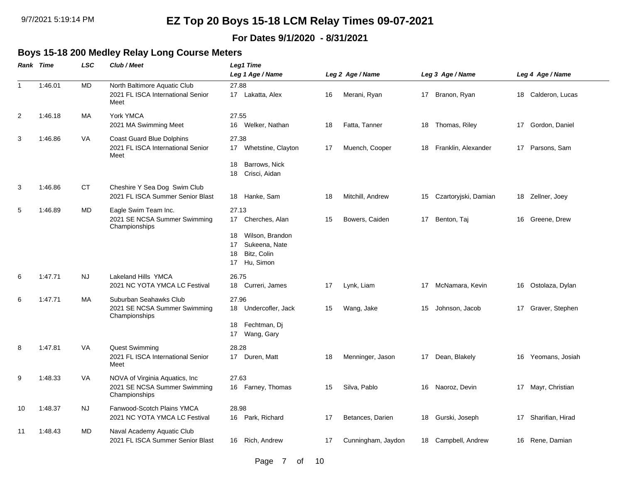## **For Dates 9/1/2020 - 8/31/2021**

# **Boys 15-18 200 Medley Relay Long Course Meters**

|              | <b>Rank Time</b> | LSC       | Club / Meet                                                                     | <b>Leg1 Time</b><br>Leg 1 Age / Name                                                                                  |    | Leg 2 Age / Name   |    | Leg 3 Age / Name     |    | Leg 4 Age / Name   |
|--------------|------------------|-----------|---------------------------------------------------------------------------------|-----------------------------------------------------------------------------------------------------------------------|----|--------------------|----|----------------------|----|--------------------|
| $\mathbf{1}$ | 1:46.01          | MD        | North Baltimore Aquatic Club<br>2021 FL ISCA International Senior<br>Meet       | 27.88<br>17 Lakatta, Alex                                                                                             | 16 | Merani, Ryan       | 17 | Branon, Ryan         |    | 18 Calderon, Lucas |
| 2            | 1:46.18          | MA        | York YMCA<br>2021 MA Swimming Meet                                              | 27.55<br>16 Welker, Nathan                                                                                            | 18 | Fatta, Tanner      | 18 | Thomas, Riley        |    | 17 Gordon, Daniel  |
| 3            | 1:46.86          | VA.       | <b>Coast Guard Blue Dolphins</b><br>2021 FL ISCA International Senior<br>Meet   | 27.38<br>17<br>Whetstine, Clayton<br>Barrows, Nick<br>18<br>Crisci, Aidan<br>18                                       | 17 | Muench, Cooper     | 18 | Franklin, Alexander  | 17 | Parsons, Sam       |
| 3            | 1:46.86          | СT        | Cheshire Y Sea Dog Swim Club<br>2021 FL ISCA Summer Senior Blast                | Hanke, Sam<br>18                                                                                                      | 18 | Mitchill, Andrew   | 15 | Czartoryjski, Damian | 18 | Zellner, Joey      |
| 5            | 1:46.89          | MD        | Eagle Swim Team Inc.<br>2021 SE NCSA Summer Swimming<br>Championships           | 27.13<br>17<br>Cherches, Alan<br>Wilson, Brandon<br>18<br>Sukeena, Nate<br>17<br>Bitz, Colin<br>18<br>Hu, Simon<br>17 | 15 | Bowers, Caiden     | 17 | Benton, Taj          | 16 | Greene, Drew       |
| 6            | 1:47.71          | <b>NJ</b> | <b>Lakeland Hills YMCA</b><br>2021 NC YOTA YMCA LC Festival                     | 26.75<br>Curreri, James<br>18                                                                                         | 17 | Lynk, Liam         | 17 | McNamara, Kevin      | 16 | Ostolaza, Dylan    |
| 6            | 1:47.71          | MA        | Suburban Seahawks Club<br>2021 SE NCSA Summer Swimming<br>Championships         | 27.96<br>18<br>Undercofler, Jack<br>Fechtman, Dj<br>18<br>Wang, Gary<br>17                                            | 15 | Wang, Jake         | 15 | Johnson, Jacob       |    | 17 Graver, Stephen |
| 8            | 1:47.81          | VA        | <b>Quest Swimming</b><br>2021 FL ISCA International Senior<br>Meet              | 28.28<br>17 Duren, Matt                                                                                               | 18 | Menninger, Jason   | 17 | Dean, Blakely        | 16 | Yeomans, Josiah    |
| 9            | 1:48.33          | VA        | NOVA of Virginia Aquatics, Inc<br>2021 SE NCSA Summer Swimming<br>Championships | 27.63<br>16 Farney, Thomas                                                                                            | 15 | Silva, Pablo       | 16 | Naoroz, Devin        |    | 17 Mayr, Christian |
| 10           | 1:48.37          | NJ        | Fanwood-Scotch Plains YMCA<br>2021 NC YOTA YMCA LC Festival                     | 28.98<br>16 Park, Richard                                                                                             | 17 | Betances, Darien   | 18 | Gurski, Joseph       | 17 | Sharifian, Hirad   |
| 11           | 1:48.43          | MD        | Naval Academy Aquatic Club<br>2021 FL ISCA Summer Senior Blast                  | Rich, Andrew<br>16                                                                                                    | 17 | Cunningham, Jaydon | 18 | Campbell, Andrew     | 16 | Rene, Damian       |

Page 7 of 10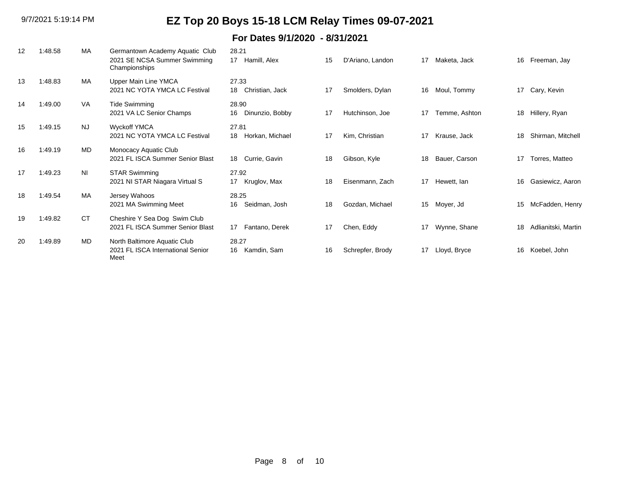| 12 | 1:48.58 | MA        | Germantown Academy Aquatic Club<br>2021 SE NCSA Summer Swimming<br>Championships | 28.21<br>17<br>Hamill, Alex    | 15 | D'Ariano, Landon | 17 | Maketa, Jack  | 16 | Freeman, Jay        |
|----|---------|-----------|----------------------------------------------------------------------------------|--------------------------------|----|------------------|----|---------------|----|---------------------|
| 13 | 1:48.83 | MA        | Upper Main Line YMCA<br>2021 NC YOTA YMCA LC Festival                            | 27.33<br>Christian, Jack<br>18 | 17 | Smolders, Dylan  | 16 | Moul, Tommy   | 17 | Cary, Kevin         |
| 14 | 1:49.00 | VA        | <b>Tide Swimming</b><br>2021 VA LC Senior Champs                                 | 28.90<br>Dinunzio, Bobby<br>16 | 17 | Hutchinson, Joe  | 17 | Temme, Ashton | 18 | Hillery, Ryan       |
| 15 | 1:49.15 | <b>NJ</b> | <b>Wyckoff YMCA</b><br>2021 NC YOTA YMCA LC Festival                             | 27.81<br>Horkan, Michael<br>18 | 17 | Kim, Christian   | 17 | Krause, Jack  | 18 | Shirman, Mitchell   |
| 16 | 1:49.19 | <b>MD</b> | Monocacy Aquatic Club<br>2021 FL ISCA Summer Senior Blast                        | 18 Currie, Gavin               | 18 | Gibson, Kyle     | 18 | Bauer, Carson | 17 | Torres, Matteo      |
| 17 | 1:49.23 | <b>NI</b> | <b>STAR Swimming</b><br>2021 NI STAR Niagara Virtual S                           | 27.92<br>Kruglov, Max<br>17    | 18 | Eisenmann, Zach  | 17 | Hewett, lan   | 16 | Gasiewicz, Aaron    |
| 18 | 1:49.54 | MA        | Jersey Wahoos<br>2021 MA Swimming Meet                                           | 28.25<br>Seidman, Josh<br>16   | 18 | Gozdan, Michael  | 15 | Moyer, Jd     | 15 | McFadden, Henry     |
| 19 | 1:49.82 | <b>CT</b> | Cheshire Y Sea Dog Swim Club<br>2021 FL ISCA Summer Senior Blast                 | Fantano, Derek<br>17           | 17 | Chen, Eddy       | 17 | Wynne, Shane  | 18 | Adlianitski, Martin |
| 20 | 1:49.89 | MD.       | North Baltimore Aquatic Club<br>2021 FL ISCA International Senior<br>Meet        | 28.27<br>Kamdin, Sam<br>16     | 16 | Schrepfer, Brody | 17 | Lloyd, Bryce  | 16 | Koebel, John        |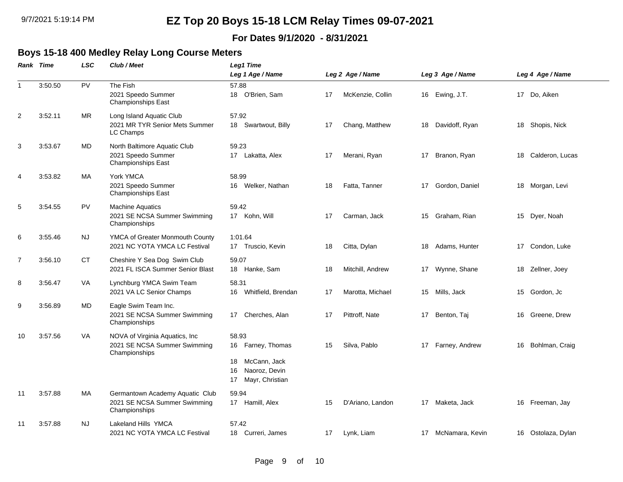## **For Dates 9/1/2020 - 8/31/2021**

## **Boys 15-18 400 Medley Relay Long Course Meters**

|                | <b>Rank Time</b> | LSC       | Club / Meet                                                                      | Leg1 Time                                                          |    |                  |    |                    |    |                    |
|----------------|------------------|-----------|----------------------------------------------------------------------------------|--------------------------------------------------------------------|----|------------------|----|--------------------|----|--------------------|
|                |                  |           |                                                                                  | Leg 1 Age / Name                                                   |    | Leg 2 Age / Name |    | Leg 3 Age / Name   |    | Leg 4 Age / Name   |
| $\mathbf{1}$   | 3:50.50          | PV        | The Fish<br>2021 Speedo Summer<br>Championships East                             | 57.88<br>18 O'Brien, Sam                                           | 17 | McKenzie, Collin |    | 16 Ewing, J.T.     |    | 17 Do, Aiken       |
| $\overline{c}$ | 3:52.11          | <b>MR</b> | Long Island Aquatic Club<br>2021 MR TYR Senior Mets Summer<br>LC Champs          | 57.92<br>18 Swartwout, Billy                                       | 17 | Chang, Matthew   | 18 | Davidoff, Ryan     |    | 18 Shopis, Nick    |
| 3              | 3:53.67          | <b>MD</b> | North Baltimore Aquatic Club<br>2021 Speedo Summer<br><b>Championships East</b>  | 59.23<br>17 Lakatta, Alex                                          | 17 | Merani, Ryan     | 17 | Branon, Ryan       | 18 | Calderon, Lucas    |
| 4              | 3:53.82          | <b>MA</b> | York YMCA<br>2021 Speedo Summer<br>Championships East                            | 58.99<br>16 Welker, Nathan                                         | 18 | Fatta, Tanner    | 17 | Gordon, Daniel     |    | 18 Morgan, Levi    |
| 5              | 3:54.55          | <b>PV</b> | <b>Machine Aquatics</b><br>2021 SE NCSA Summer Swimming<br>Championships         | 59.42<br>17 Kohn, Will                                             | 17 | Carman, Jack     | 15 | Graham, Rian       |    | 15 Dyer, Noah      |
| 6              | 3:55.46          | <b>NJ</b> | YMCA of Greater Monmouth County<br>2021 NC YOTA YMCA LC Festival                 | 1:01.64<br>17 Truscio, Kevin                                       | 18 | Citta, Dylan     | 18 | Adams, Hunter      |    | 17 Condon, Luke    |
| $\overline{7}$ | 3:56.10          | CT        | Cheshire Y Sea Dog Swim Club<br>2021 FL ISCA Summer Senior Blast                 | 59.07<br>18 Hanke, Sam                                             | 18 | Mitchill, Andrew | 17 | Wynne, Shane       |    | 18 Zellner, Joey   |
| 8              | 3:56.47          | VA        | Lynchburg YMCA Swim Team<br>2021 VA LC Senior Champs                             | 58.31<br>16 Whitfield, Brendan                                     | 17 | Marotta, Michael |    | 15 Mills, Jack     |    | 15 Gordon, Jc      |
| 9              | 3:56.89          | MD        | Eagle Swim Team Inc.<br>2021 SE NCSA Summer Swimming<br>Championships            | Cherches, Alan<br>17                                               | 17 | Pittroff, Nate   | 17 | Benton, Taj        | 16 | Greene, Drew       |
| 10             | 3:57.56          | VA        | NOVA of Virginia Aquatics, Inc<br>2021 SE NCSA Summer Swimming<br>Championships  | 58.93<br>Farney, Thomas<br>16                                      | 15 | Silva, Pablo     | 17 | Farney, Andrew     | 16 | Bohlman, Craig     |
|                |                  |           |                                                                                  | McCann, Jack<br>18<br>Naoroz, Devin<br>16<br>Mayr, Christian<br>17 |    |                  |    |                    |    |                    |
| 11             | 3:57.88          | <b>MA</b> | Germantown Academy Aquatic Club<br>2021 SE NCSA Summer Swimming<br>Championships | 59.94<br>17 Hamill, Alex                                           | 15 | D'Ariano, Landon |    | 17 Maketa, Jack    | 16 | Freeman, Jay       |
| 11             | 3:57.88          | <b>NJ</b> | <b>Lakeland Hills YMCA</b><br>2021 NC YOTA YMCA LC Festival                      | 57.42<br>18 Curreri, James                                         | 17 | Lynk, Liam       |    | 17 McNamara, Kevin |    | 16 Ostolaza, Dylan |